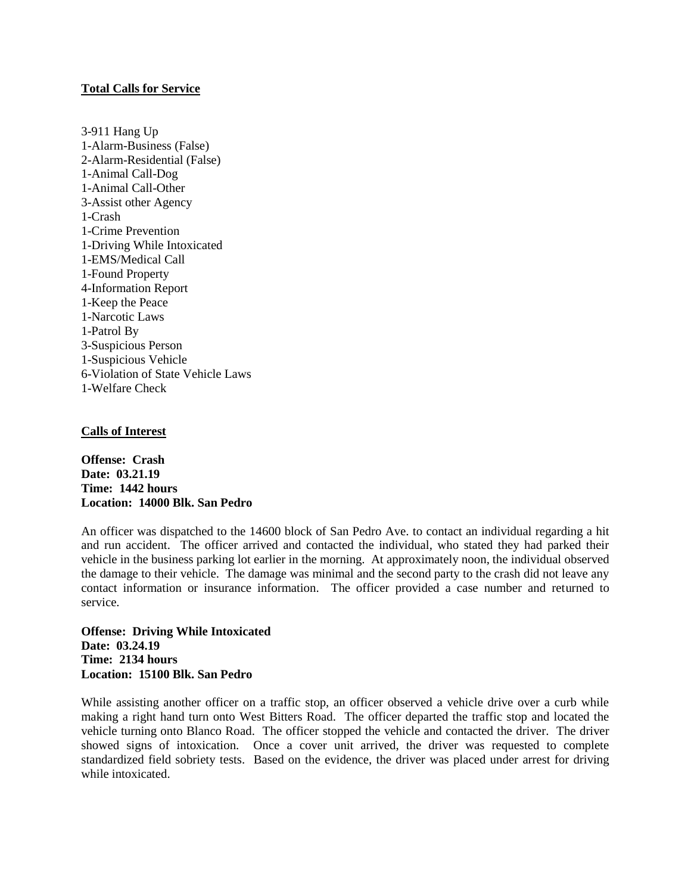## **Total Calls for Service**

3-911 Hang Up 1-Alarm-Business (False) 2-Alarm-Residential (False) 1-Animal Call-Dog 1-Animal Call-Other 3-Assist other Agency 1-Crash 1-Crime Prevention 1-Driving While Intoxicated 1-EMS/Medical Call 1-Found Property 4-Information Report 1-Keep the Peace 1-Narcotic Laws 1-Patrol By 3-Suspicious Person 1-Suspicious Vehicle 6-Violation of State Vehicle Laws 1-Welfare Check

# **Calls of Interest**

**Offense: Crash Date: 03.21.19 Time: 1442 hours Location: 14000 Blk. San Pedro**

An officer was dispatched to the 14600 block of San Pedro Ave. to contact an individual regarding a hit and run accident. The officer arrived and contacted the individual, who stated they had parked their vehicle in the business parking lot earlier in the morning. At approximately noon, the individual observed the damage to their vehicle. The damage was minimal and the second party to the crash did not leave any contact information or insurance information. The officer provided a case number and returned to service.

**Offense: Driving While Intoxicated Date: 03.24.19 Time: 2134 hours Location: 15100 Blk. San Pedro**

While assisting another officer on a traffic stop, an officer observed a vehicle drive over a curb while making a right hand turn onto West Bitters Road. The officer departed the traffic stop and located the vehicle turning onto Blanco Road. The officer stopped the vehicle and contacted the driver. The driver showed signs of intoxication. Once a cover unit arrived, the driver was requested to complete standardized field sobriety tests. Based on the evidence, the driver was placed under arrest for driving while intoxicated.